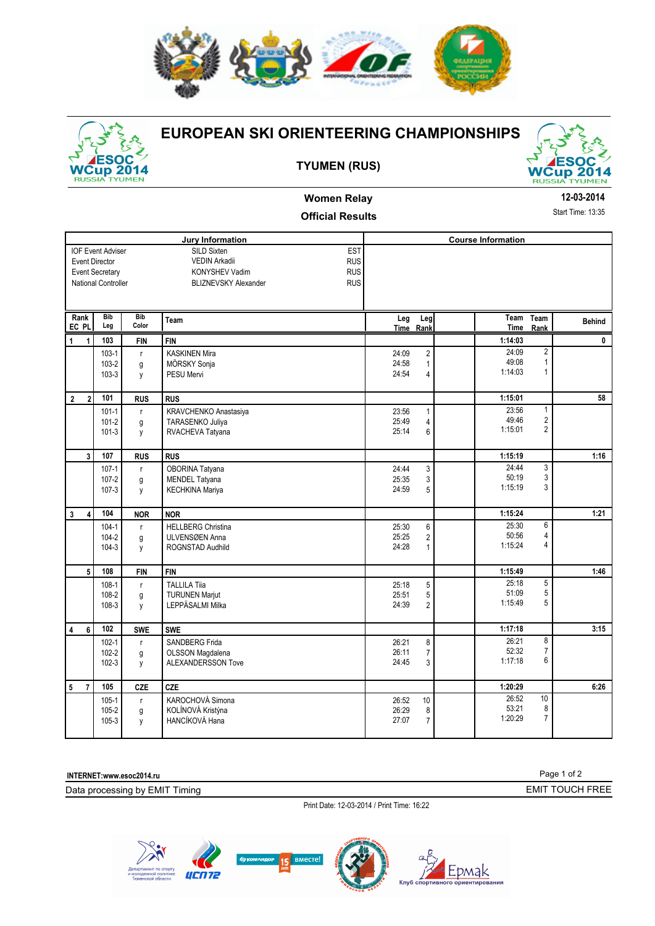



## **EUROPEAN SKI ORIENTEERING CHAMPIONSHIPS**

## **TYUMEN (RUS)**



## **Women Relay Official Results**

## **12-03-2014**

Start Time: 13:35

| <b>Jury Information</b>                     |                                                                                                    |                        |                                                                                                                                       |                         |                                                  | <b>Course Information</b> |                                              |               |
|---------------------------------------------|----------------------------------------------------------------------------------------------------|------------------------|---------------------------------------------------------------------------------------------------------------------------------------|-------------------------|--------------------------------------------------|---------------------------|----------------------------------------------|---------------|
|                                             | <b>IOF Event Adviser</b><br><b>Event Director</b><br><b>Event Secretary</b><br>National Controller |                        | EST<br>SILD Sixten<br><b>VEDIN Arkadii</b><br><b>RUS</b><br><b>RUS</b><br>KONYSHEV Vadim<br><b>BLIZNEVSKY Alexander</b><br><b>RUS</b> |                         |                                                  |                           |                                              |               |
| Rank<br>EC PL                               | <b>Bib</b><br>Leg                                                                                  | <b>Bib</b><br>Color    | Team                                                                                                                                  | Leg                     | Leg<br>Time Rank                                 | Team<br><b>Time</b>       | Team<br>Rank                                 | <b>Behind</b> |
| 1<br>1                                      | 103                                                                                                | <b>FIN</b>             | <b>FIN</b>                                                                                                                            |                         |                                                  | 1:14:03                   |                                              | $\mathbf 0$   |
|                                             | $103-1$<br>103-2<br>103-3                                                                          | $\mathsf{r}$<br>g<br>y | <b>KASKINEN Mira</b><br>MÖRSKY Sonja<br><b>PESU Mervi</b>                                                                             | 24:09<br>24:58<br>24:54 | $\overline{2}$<br>$\mathbf{1}$<br>$\overline{4}$ | 24:09<br>49:08<br>1:14:03 | $\overline{2}$<br>$\mathbf{1}$<br>1          |               |
| $\boldsymbol{2}$<br>$\overline{\mathbf{2}}$ | 101                                                                                                | <b>RUS</b>             | <b>RUS</b>                                                                                                                            |                         |                                                  | 1:15:01                   |                                              | 58            |
|                                             | $101 - 1$<br>$101 - 2$<br>$101 - 3$                                                                | $\mathsf{r}$<br>g<br>y | KRAVCHENKO Anastasiya<br>TARASENKO Juliya<br>RVACHEVA Tatyana                                                                         | 23:56<br>25:49<br>25:14 | $\mathbf{1}$<br>$\overline{4}$<br>6              | 23:56<br>49:46<br>1:15:01 | $\mathbf{1}$<br>$\sqrt{2}$<br>$\overline{2}$ |               |
| 3                                           | 107                                                                                                | <b>RUS</b>             | <b>RUS</b>                                                                                                                            |                         |                                                  | 1:15:19                   |                                              | 1:16          |
|                                             | $107 - 1$<br>$107 - 2$<br>$107 - 3$                                                                | $\mathsf{r}$<br>g<br>y | OBORINA Tatyana<br><b>MENDEL Tatyana</b><br><b>KECHKINA Mariya</b>                                                                    | 24:44<br>25:35<br>24:59 | $\mathsf 3$<br>3<br>5                            | 24:44<br>50:19<br>1:15:19 | $\overline{3}$<br>3<br>3                     |               |
| $\mathbf{3}$<br>4                           | 104                                                                                                | <b>NOR</b>             | <b>NOR</b>                                                                                                                            |                         |                                                  | 1:15:24                   |                                              | 1:21          |
|                                             | $104 - 1$<br>$104 - 2$<br>$104-3$                                                                  | $\mathsf{r}$<br>g<br>y | <b>HELLBERG Christina</b><br>ULVENSØEN Anna<br>ROGNSTAD Audhild                                                                       | 25:30<br>25:25<br>24:28 | 6<br>$\overline{2}$<br>$\mathbf{1}$              | 25:30<br>50:56<br>1:15:24 | 6<br>4<br>4                                  |               |
| 5                                           | 108                                                                                                | <b>FIN</b>             | <b>FIN</b>                                                                                                                            |                         |                                                  | 1:15:49                   |                                              | 1:46          |
|                                             | $108-1$<br>108-2<br>108-3                                                                          | $\mathsf{r}$<br>g<br>y | <b>TALLILA Tija</b><br><b>TURUNEN Marjut</b><br>LEPPÄSALMI Milka                                                                      | 25:18<br>25:51<br>24:39 | 5<br>5<br>$\overline{2}$                         | 25:18<br>51:09<br>1:15:49 | $\overline{5}$<br>5<br>5                     |               |
| $\overline{\mathbf{4}}$<br>6                | 102                                                                                                | <b>SWE</b>             | <b>SWE</b>                                                                                                                            |                         |                                                  | 1:17:18                   |                                              | 3:15          |
|                                             | $102 - 1$<br>$102 - 2$<br>$102 - 3$                                                                | $\mathsf{r}$<br>g<br>у | <b>SANDBERG Frida</b><br>OLSSON Magdalena<br>ALEXANDERSSON Tove                                                                       | 26:21<br>26:11<br>24:45 | 8<br>$\overline{7}$<br>3                         | 26:21<br>52:32<br>1:17:18 | 8<br>$\overline{7}$<br>6                     |               |
| 5<br>$\overline{7}$                         | 105                                                                                                | <b>CZE</b>             | CZE                                                                                                                                   |                         |                                                  | 1:20:29                   |                                              | 6:26          |
|                                             | $105 - 1$<br>105-2<br>$105 - 3$                                                                    | $\mathsf{r}$<br>g<br>у | KAROCHOVÁ Simona<br>KOLÍNOVÁ Kristýna<br>HANCÍKOVÁ Hana                                                                               | 26:52<br>26:29<br>27:07 | 10<br>8<br>$\overline{7}$                        | 26:52<br>53:21<br>1:20:29 | 10<br>8<br>$\overline{7}$                    |               |

**INTERNET:www.esoc2014.ru** 

Data processing by EMIT Timing

Print Date: 12-03-2014 / Print Time: 16:22







Epmak